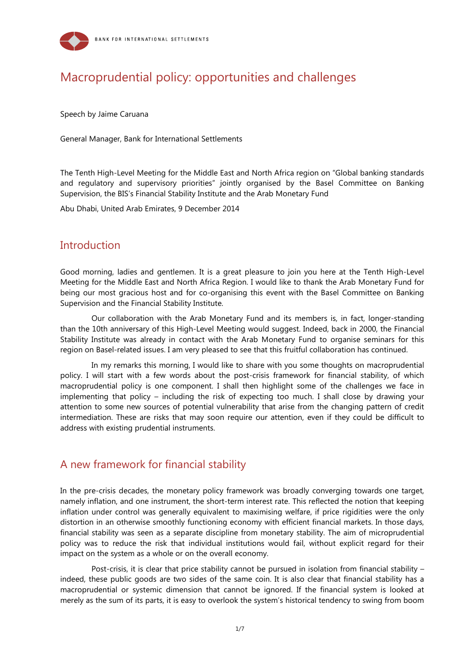

# Macroprudential policy: opportunities and challenges

Speech by Jaime Caruana

General Manager, Bank for International Settlements

The Tenth High-Level Meeting for the Middle East and North Africa region on "Global banking standards and regulatory and supervisory priorities" jointly organised by the Basel Committee on Banking Supervision, the BIS's Financial Stability Institute and the Arab Monetary Fund

Abu Dhabi, United Arab Emirates, 9 December 2014

### **Introduction**

Good morning, ladies and gentlemen. It is a great pleasure to join you here at the Tenth High-Level Meeting for the Middle East and North Africa Region. I would like to thank the Arab Monetary Fund for being our most gracious host and for co-organising this event with the Basel Committee on Banking Supervision and the Financial Stability Institute.

Our collaboration with the Arab Monetary Fund and its members is, in fact, longer-standing than the 10th anniversary of this High-Level Meeting would suggest. Indeed, back in 2000, the Financial Stability Institute was already in contact with the Arab Monetary Fund to organise seminars for this region on Basel-related issues. I am very pleased to see that this fruitful collaboration has continued.

In my remarks this morning, I would like to share with you some thoughts on macroprudential policy. I will start with a few words about the post-crisis framework for financial stability, of which macroprudential policy is one component. I shall then highlight some of the challenges we face in implementing that policy – including the risk of expecting too much. I shall close by drawing your attention to some new sources of potential vulnerability that arise from the changing pattern of credit intermediation. These are risks that may soon require our attention, even if they could be difficult to address with existing prudential instruments.

### A new framework for financial stability

In the pre-crisis decades, the monetary policy framework was broadly converging towards one target, namely inflation, and one instrument, the short-term interest rate. This reflected the notion that keeping inflation under control was generally equivalent to maximising welfare, if price rigidities were the only distortion in an otherwise smoothly functioning economy with efficient financial markets. In those days, financial stability was seen as a separate discipline from monetary stability. The aim of microprudential policy was to reduce the risk that individual institutions would fail, without explicit regard for their impact on the system as a whole or on the overall economy.

Post-crisis, it is clear that price stability cannot be pursued in isolation from financial stability – indeed, these public goods are two sides of the same coin. It is also clear that financial stability has a macroprudential or systemic dimension that cannot be ignored. If the financial system is looked at merely as the sum of its parts, it is easy to overlook the system's historical tendency to swing from boom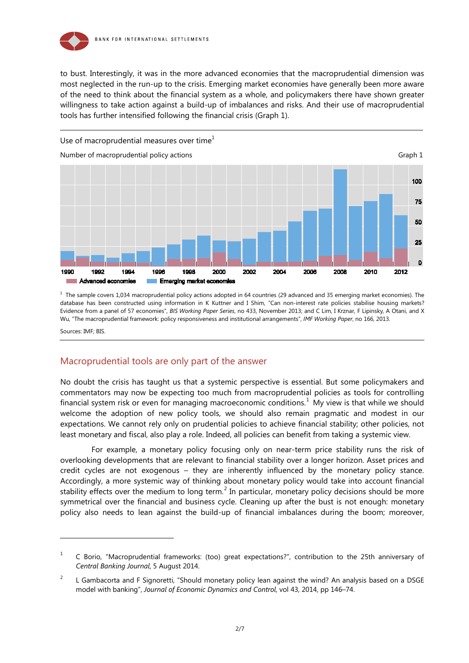

to bust. Interestingly, it was in the more advanced economies that the macroprudential dimension was most neglected in the run-up to the crisis. Emerging market economies have generally been more aware of the need to think about the financial system as a whole, and policymakers there have shown greater willingness to take action against a build-up of imbalances and risks. And their use of macroprudential tools has further intensified following the financial crisis (Graph 1).



 $<sup>1</sup>$  The sample covers 1,034 macroprudential policy actions adopted in 64 countries (29 advanced and 35 emerging market economies). The</sup> database has been constructed using information in K Kuttner and I Shim, "Can non-interest rate policies stabilise housing markets? Evidence from a panel of 57 economies", *BIS Working Paper Series*, no 433, November 2013; and C Lim, I Krznar, F Lipinsky, A Otani, and X Wu, "The macroprudential framework: policy responsiveness and institutional arrangements", *IMF Working Paper*, no 166, 2013.

Sources: IMF; BIS.

-

#### Macroprudential tools are only part of the answer

No doubt the crisis has taught us that a systemic perspective is essential. But some policymakers and commentators may now be expecting too much from macroprudential policies as tools for controlling financial system risk or even for managing macroeconomic conditions.<sup>[1](#page-1-0)</sup> My view is that while we should welcome the adoption of new policy tools, we should also remain pragmatic and modest in our expectations. We cannot rely only on prudential policies to achieve financial stability; other policies, not least monetary and fiscal, also play a role. Indeed, all policies can benefit from taking a systemic view.

For example, a monetary policy focusing only on near-term price stability runs the risk of overlooking developments that are relevant to financial stability over a longer horizon. Asset prices and credit cycles are not exogenous – they are inherently influenced by the monetary policy stance. Accordingly, a more systemic way of thinking about monetary policy would take into account financial stability effects over the medium to long term.<sup>[2](#page-1-1)</sup> In particular, monetary policy decisions should be more symmetrical over the financial and business cycle. Cleaning up after the bust is not enough: monetary policy also needs to lean against the build-up of financial imbalances during the boom; moreover,

<span id="page-1-0"></span><sup>&</sup>lt;sup>1</sup> C Borio, "Macroprudential frameworks: (too) great expectations?", contribution to the 25th anniversary of *Central Banking Journal*, 5 August 2014.

<span id="page-1-1"></span><sup>&</sup>lt;sup>2</sup> L Gambacorta and F Signoretti, "Should monetary policy lean against the wind? An analysis based on a DSGE model with banking", *Journal of Economic Dynamics and Control*, vol 43, 2014, pp 146–74.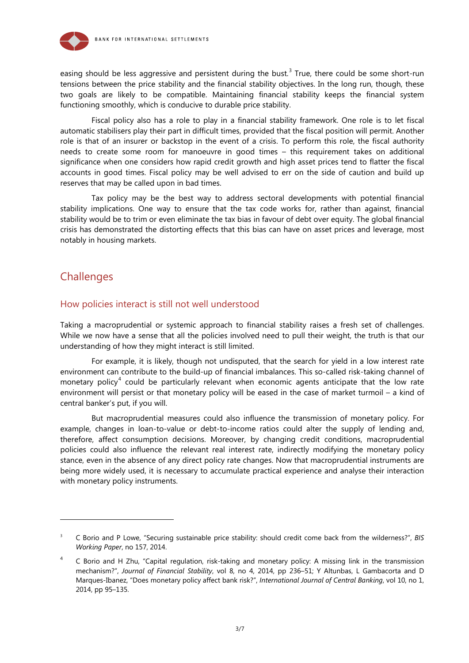

easing should be less aggressive and persistent during the bust.<sup>[3](#page-2-0)</sup> True, there could be some short-run tensions between the price stability and the financial stability objectives. In the long run, though, these two goals are likely to be compatible. Maintaining financial stability keeps the financial system functioning smoothly, which is conducive to durable price stability.

Fiscal policy also has a role to play in a financial stability framework. One role is to let fiscal automatic stabilisers play their part in difficult times, provided that the fiscal position will permit. Another role is that of an insurer or backstop in the event of a crisis. To perform this role, the fiscal authority needs to create some room for manoeuvre in good times – this requirement takes on additional significance when one considers how rapid credit growth and high asset prices tend to flatter the fiscal accounts in good times. Fiscal policy may be well advised to err on the side of caution and build up reserves that may be called upon in bad times.

Tax policy may be the best way to address sectoral developments with potential financial stability implications. One way to ensure that the tax code works for, rather than against, financial stability would be to trim or even eliminate the tax bias in favour of debt over equity. The global financial crisis has demonstrated the distorting effects that this bias can have on asset prices and leverage, most notably in housing markets.

### **Challenges**

-

#### How policies interact is still not well understood

Taking a macroprudential or systemic approach to financial stability raises a fresh set of challenges. While we now have a sense that all the policies involved need to pull their weight, the truth is that our understanding of how they might interact is still limited.

For example, it is likely, though not undisputed, that the search for yield in a low interest rate environment can contribute to the build-up of financial imbalances. This so-called risk-taking channel of monetary policy<sup>[4](#page-2-1)</sup> could be particularly relevant when economic agents anticipate that the low rate environment will persist or that monetary policy will be eased in the case of market turmoil – a kind of central banker's put, if you will.

But macroprudential measures could also influence the transmission of monetary policy. For example, changes in loan-to-value or debt-to-income ratios could alter the supply of lending and, therefore, affect consumption decisions. Moreover, by changing credit conditions, macroprudential policies could also influence the relevant real interest rate, indirectly modifying the monetary policy stance, even in the absence of any direct policy rate changes. Now that macroprudential instruments are being more widely used, it is necessary to accumulate practical experience and analyse their interaction with monetary policy instruments.

<span id="page-2-0"></span><sup>3</sup> C Borio and P Lowe, "Securing sustainable price stability: should credit come back from the wilderness?", *BIS Working Paper*, no 157, 2014.

<span id="page-2-1"></span><sup>&</sup>lt;sup>4</sup> C Borio and H Zhu, "Capital regulation, risk-taking and monetary policy: A missing link in the transmission mechanism?", *Journal of Financial Stability*, vol 8, no 4, 2014, pp 236–51; Y Altunbas, L Gambacorta and D Marques-Ibanez, "Does monetary policy affect bank risk?", *International Journal of Central Banking*, vol 10, no 1, 2014, pp 95–135.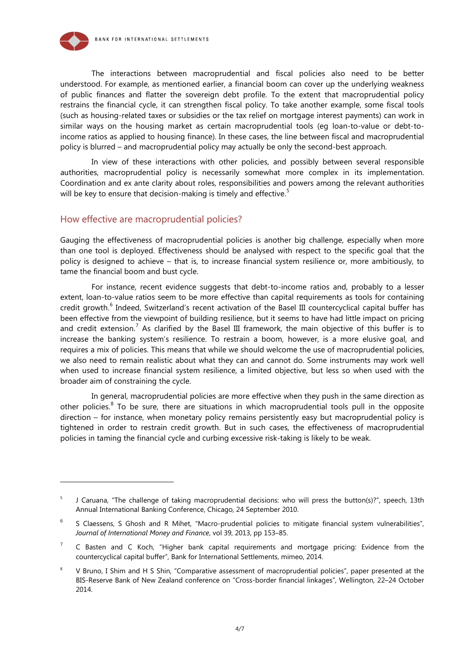

-

The interactions between macroprudential and fiscal policies also need to be better understood. For example, as mentioned earlier, a financial boom can cover up the underlying weakness of public finances and flatter the sovereign debt profile. To the extent that macroprudential policy restrains the financial cycle, it can strengthen fiscal policy. To take another example, some fiscal tools (such as housing-related taxes or subsidies or the tax relief on mortgage interest payments) can work in similar ways on the housing market as certain macroprudential tools (eg loan-to-value or debt-toincome ratios as applied to housing finance). In these cases, the line between fiscal and macroprudential policy is blurred – and macroprudential policy may actually be only the second-best approach.

In view of these interactions with other policies, and possibly between several responsible authorities, macroprudential policy is necessarily somewhat more complex in its implementation. Coordination and ex ante clarity about roles, responsibilities and powers among the relevant authorities will be key to ensure that decision-making is timely and effective.<sup>[5](#page-3-0)</sup>

#### How effective are macroprudential policies?

Gauging the effectiveness of macroprudential policies is another big challenge, especially when more than one tool is deployed. Effectiveness should be analysed with respect to the specific goal that the policy is designed to achieve – that is, to increase financial system resilience or, more ambitiously, to tame the financial boom and bust cycle.

For instance, recent evidence suggests that debt-to-income ratios and, probably to a lesser extent, loan-to-value ratios seem to be more effective than capital requirements as tools for containing credit growth.<sup>[6](#page-3-1)</sup> Indeed, Switzerland's recent activation of the Basel III countercyclical capital buffer has been effective from the viewpoint of building resilience, but it seems to have had little impact on pricing and credit extension.<sup>[7](#page-3-2)</sup> As clarified by the Basel III framework, the main objective of this buffer is to increase the banking system's resilience. To restrain a boom, however, is a more elusive goal, and requires a mix of policies. This means that while we should welcome the use of macroprudential policies, we also need to remain realistic about what they can and cannot do. Some instruments may work well when used to increase financial system resilience, a limited objective, but less so when used with the broader aim of constraining the cycle.

In general, macroprudential policies are more effective when they push in the same direction as other policies.<sup>[8](#page-3-3)</sup> To be sure, there are situations in which macroprudential tools pull in the opposite direction – for instance, when monetary policy remains persistently easy but macroprudential policy is tightened in order to restrain credit growth. But in such cases, the effectiveness of macroprudential policies in taming the financial cycle and curbing excessive risk-taking is likely to be weak.

<span id="page-3-0"></span><sup>5</sup> J Caruana, "The challenge of taking macroprudential decisions: who will press the button(s)?", speech, 13th Annual International Banking Conference, Chicago, 24 September 2010.

<span id="page-3-1"></span> $6$  S Claessens, S Ghosh and R Mihet, "Macro-prudential policies to mitigate financial system vulnerabilities", *Journal of International Money and Finance*, vol 39, 2013, pp 153–85.

<span id="page-3-2"></span> $7$  C Basten and C Koch, "Higher bank capital requirements and mortgage pricing: Evidence from the countercyclical capital buffer", Bank for International Settlements, mimeo, 2014.

<span id="page-3-3"></span><sup>&</sup>lt;sup>8</sup> V Bruno, I Shim and H S Shin, "Comparative assessment of macroprudential policies", paper presented at the BIS-Reserve Bank of New Zealand conference on "Cross-border financial linkages", Wellington, 22–24 October 2014.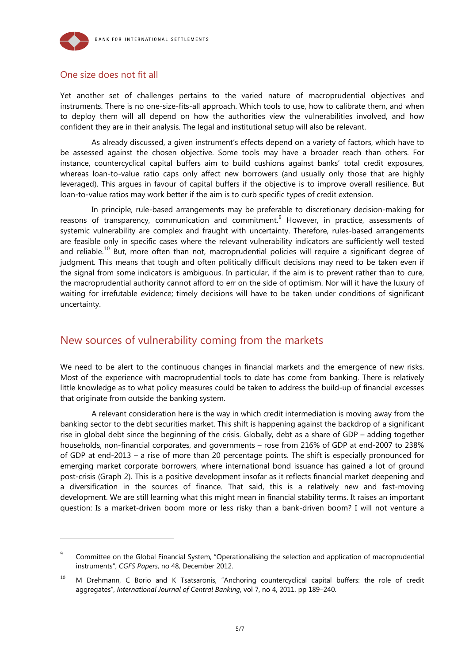

#### One size does not fit all

-

Yet another set of challenges pertains to the varied nature of macroprudential objectives and instruments. There is no one-size-fits-all approach. Which tools to use, how to calibrate them, and when to deploy them will all depend on how the authorities view the vulnerabilities involved, and how confident they are in their analysis. The legal and institutional setup will also be relevant.

As already discussed, a given instrument's effects depend on a variety of factors, which have to be assessed against the chosen objective. Some tools may have a broader reach than others. For instance, countercyclical capital buffers aim to build cushions against banks' total credit exposures, whereas loan-to-value ratio caps only affect new borrowers (and usually only those that are highly leveraged). This argues in favour of capital buffers if the objective is to improve overall resilience. But loan-to-value ratios may work better if the aim is to curb specific types of credit extension.

In principle, rule-based arrangements may be preferable to discretionary decision-making for reasons of transparency, communication and commitment.<sup>[9](#page-4-0)</sup> However, in practice, assessments of systemic vulnerability are complex and fraught with uncertainty. Therefore, rules-based arrangements are feasible only in specific cases where the relevant vulnerability indicators are sufficiently well tested and reliable.<sup>[10](#page-4-1)</sup> But, more often than not, macroprudential policies will require a significant degree of judgment. This means that tough and often politically difficult decisions may need to be taken even if the signal from some indicators is ambiguous. In particular, if the aim is to prevent rather than to cure, the macroprudential authority cannot afford to err on the side of optimism. Nor will it have the luxury of waiting for irrefutable evidence; timely decisions will have to be taken under conditions of significant uncertainty.

### New sources of vulnerability coming from the markets

We need to be alert to the continuous changes in financial markets and the emergence of new risks. Most of the experience with macroprudential tools to date has come from banking. There is relatively little knowledge as to what policy measures could be taken to address the build-up of financial excesses that originate from outside the banking system.

A relevant consideration here is the way in which credit intermediation is moving away from the banking sector to the debt securities market. This shift is happening against the backdrop of a significant rise in global debt since the beginning of the crisis. Globally, debt as a share of GDP – adding together households, non-financial corporates, and governments – rose from 216% of GDP at end-2007 to 238% of GDP at end-2013 – a rise of more than 20 percentage points. The shift is especially pronounced for emerging market corporate borrowers, where international bond issuance has gained a lot of ground post-crisis (Graph 2). This is a positive development insofar as it reflects financial market deepening and a diversification in the sources of finance. That said, this is a relatively new and fast-moving development. We are still learning what this might mean in financial stability terms. It raises an important question: Is a market-driven boom more or less risky than a bank-driven boom? I will not venture a

<span id="page-4-0"></span><sup>&</sup>lt;sup>9</sup> Committee on the Global Financial System, "Operationalising the selection and application of macroprudential instruments", *CGFS Papers*, no 48, December 2012.

<span id="page-4-1"></span><sup>&</sup>lt;sup>10</sup> M Drehmann, C Borio and K Tsatsaronis, "Anchoring countercyclical capital buffers: the role of credit aggregates", *International Journal of Central Banking*, vol 7, no 4, 2011, pp 189–240.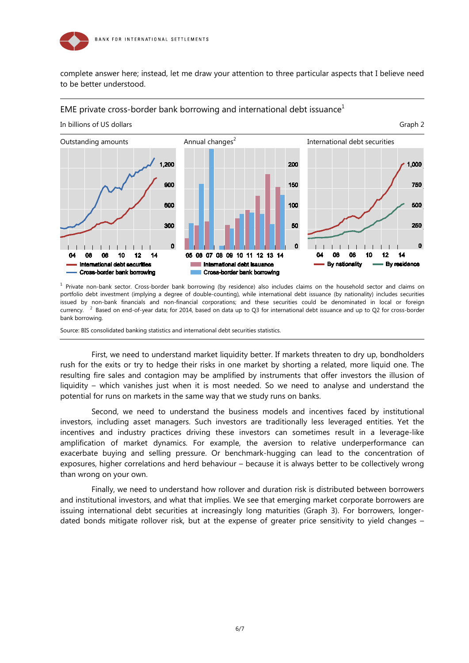

complete answer here; instead, let me draw your attention to three particular aspects that I believe need to be better understood.

#### EME private cross-border bank borrowing and international debt issuance<sup>1</sup>



<sup>1</sup> Private non-bank sector. Cross-border bank borrowing (by residence) also includes claims on the household sector and claims on portfolio debt investment (implying a degree of double-counting), while international debt issuance (by nationality) includes securities issued by non-bank financials and non-financial corporations; and these securities could be denominated in local or foreign currency.  $3$  Based on end-of-year data; for 2014, based on data up to Q3 for international debt issuance and up to Q2 for cross-border bank borrowing.

Source: BIS consolidated banking statistics and international debt securities statistics.

First, we need to understand market liquidity better. If markets threaten to dry up, bondholders rush for the exits or try to hedge their risks in one market by shorting a related, more liquid one. The resulting fire sales and contagion may be amplified by instruments that offer investors the illusion of liquidity – which vanishes just when it is most needed. So we need to analyse and understand the potential for runs on markets in the same way that we study runs on banks.

Second, we need to understand the business models and incentives faced by institutional investors, including asset managers. Such investors are traditionally less leveraged entities. Yet the incentives and industry practices driving these investors can sometimes result in a leverage-like amplification of market dynamics. For example, the aversion to relative underperformance can exacerbate buying and selling pressure. Or benchmark-hugging can lead to the concentration of exposures, higher correlations and herd behaviour – because it is always better to be collectively wrong than wrong on your own.

Finally, we need to understand how rollover and duration risk is distributed between borrowers and institutional investors, and what that implies. We see that emerging market corporate borrowers are issuing international debt securities at increasingly long maturities (Graph 3). For borrowers, longerdated bonds mitigate rollover risk, but at the expense of greater price sensitivity to yield changes –